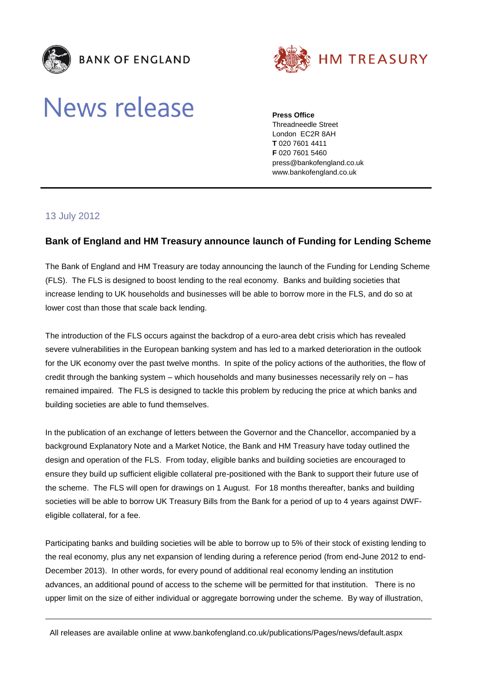



## **News release**

**Press Office**

Threadneedle Street London EC2R 8AH **T** 020 7601 4411 **F** 020 7601 5460 press@bankofengland.co.uk www.bankofengland.co.uk

## 13 July 2012

## **Bank of England and HM Treasury announce launch of Funding for Lending Scheme**

The Bank of England and HM Treasury are today announcing the launch of the Funding for Lending Scheme (FLS). The FLS is designed to boost lending to the real economy. Banks and building societies that increase lending to UK households and businesses will be able to borrow more in the FLS, and do so at lower cost than those that scale back lending.

The introduction of the FLS occurs against the backdrop of a euro-area debt crisis which has revealed severe vulnerabilities in the European banking system and has led to a marked deterioration in the outlook for the UK economy over the past twelve months. In spite of the policy actions of the authorities, the flow of credit through the banking system – which households and many businesses necessarily rely on – has remained impaired. The FLS is designed to tackle this problem by reducing the price at which banks and building societies are able to fund themselves.

In the publication of an exchange of letters between the Governor and the Chancellor, accompanied by a background Explanatory Note and a Market Notice, the Bank and HM Treasury have today outlined the design and operation of the FLS. From today, eligible banks and building societies are encouraged to ensure they build up sufficient eligible collateral pre-positioned with the Bank to support their future use of the scheme. The FLS will open for drawings on 1 August. For 18 months thereafter, banks and building societies will be able to borrow UK Treasury Bills from the Bank for a period of up to 4 years against DWFeligible collateral, for a fee.

Participating banks and building societies will be able to borrow up to 5% of their stock of existing lending to the real economy, plus any net expansion of lending during a reference period (from end-June 2012 to end-December 2013). In other words, for every pound of additional real economy lending an institution advances, an additional pound of access to the scheme will be permitted for that institution. There is no upper limit on the size of either individual or aggregate borrowing under the scheme. By way of illustration,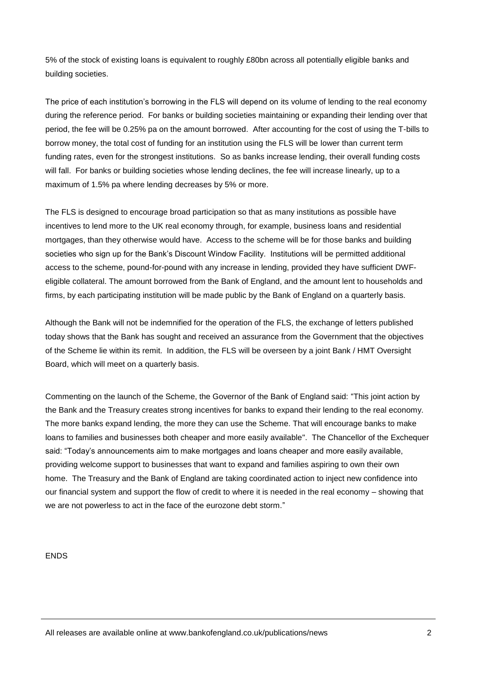5% of the stock of existing loans is equivalent to roughly £80bn across all potentially eligible banks and building societies.

The price of each institution's borrowing in the FLS will depend on its volume of lending to the real economy during the reference period. For banks or building societies maintaining or expanding their lending over that period, the fee will be 0.25% pa on the amount borrowed. After accounting for the cost of using the T-bills to borrow money, the total cost of funding for an institution using the FLS will be lower than current term funding rates, even for the strongest institutions. So as banks increase lending, their overall funding costs will fall. For banks or building societies whose lending declines, the fee will increase linearly, up to a maximum of 1.5% pa where lending decreases by 5% or more.

The FLS is designed to encourage broad participation so that as many institutions as possible have incentives to lend more to the UK real economy through, for example, business loans and residential mortgages, than they otherwise would have. Access to the scheme will be for those banks and building societies who sign up for the Bank's Discount Window Facility. Institutions will be permitted additional access to the scheme, pound-for-pound with any increase in lending, provided they have sufficient DWFeligible collateral. The amount borrowed from the Bank of England, and the amount lent to households and firms, by each participating institution will be made public by the Bank of England on a quarterly basis.

Although the Bank will not be indemnified for the operation of the FLS, the exchange of letters published today shows that the Bank has sought and received an assurance from the Government that the objectives of the Scheme lie within its remit. In addition, the FLS will be overseen by a joint Bank / HMT Oversight Board, which will meet on a quarterly basis.

Commenting on the launch of the Scheme, the Governor of the Bank of England said: "This joint action by the Bank and the Treasury creates strong incentives for banks to expand their lending to the real economy. The more banks expand lending, the more they can use the Scheme. That will encourage banks to make loans to families and businesses both cheaper and more easily available". The Chancellor of the Exchequer said: "Today's announcements aim to make mortgages and loans cheaper and more easily available, providing welcome support to businesses that want to expand and families aspiring to own their own home. The Treasury and the Bank of England are taking coordinated action to inject new confidence into our financial system and support the flow of credit to where it is needed in the real economy – showing that we are not powerless to act in the face of the eurozone debt storm."

ENDS